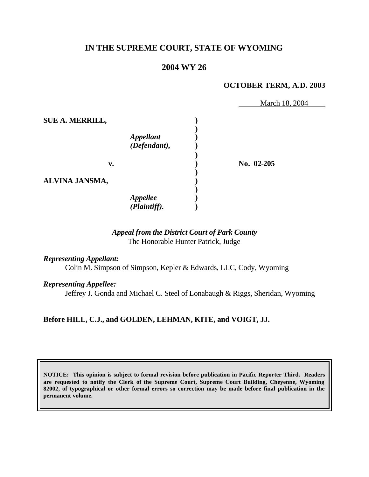# **IN THE SUPREME COURT, STATE OF WYOMING**

# **2004 WY 26**

#### **OCTOBER TERM, A.D. 2003**

March 18, 2004

| <b>SUE A. MERRILL,</b> |                                  |              |
|------------------------|----------------------------------|--------------|
|                        | <b>Appellant</b><br>(Defendant), |              |
| v.                     |                                  | No. $02-205$ |
| ALVINA JANSMA,         |                                  |              |
|                        | <b>Appellee</b><br>(Plaintiff).  |              |

# *Appeal from the District Court of Park County* The Honorable Hunter Patrick, Judge

### *Representing Appellant:*

Colin M. Simpson of Simpson, Kepler & Edwards, LLC, Cody, Wyoming

#### *Representing Appellee:*

Jeffrey J. Gonda and Michael C. Steel of Lonabaugh & Riggs, Sheridan, Wyoming

### **Before HILL, C.J., and GOLDEN, LEHMAN, KITE, and VOIGT, JJ.**

**NOTICE: This opinion is subject to formal revision before publication in Pacific Reporter Third. Readers are requested to notify the Clerk of the Supreme Court, Supreme Court Building, Cheyenne, Wyoming 82002, of typographical or other formal errors so correction may be made before final publication in the permanent volume.**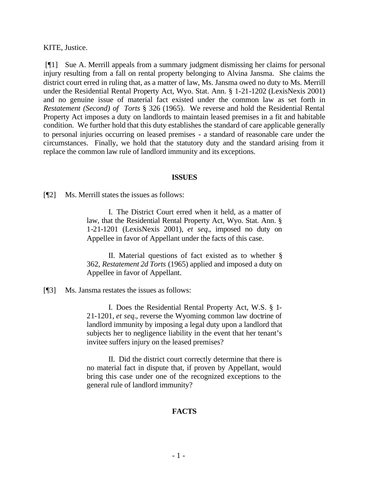KITE, Justice.

 [¶1] Sue A. Merrill appeals from a summary judgment dismissing her claims for personal injury resulting from a fall on rental property belonging to Alvina Jansma. She claims the district court erred in ruling that, as a matter of law, Ms. Jansma owed no duty to Ms. Merrill under the Residential Rental Property Act, Wyo. Stat. Ann. § 1-21-1202 (LexisNexis 2001) and no genuine issue of material fact existed under the common law as set forth in *Restatement (Second) of Torts* § 326 (1965). We reverse and hold the Residential Rental Property Act imposes a duty on landlords to maintain leased premises in a fit and habitable condition. We further hold that this duty establishes the standard of care applicable generally to personal injuries occurring on leased premises - a standard of reasonable care under the circumstances. Finally, we hold that the statutory duty and the standard arising from it replace the common law rule of landlord immunity and its exceptions.

#### **ISSUES**

[¶2] Ms. Merrill states the issues as follows:

I. The District Court erred when it held, as a matter of law, that the Residential Rental Property Act, Wyo. Stat. Ann. § 1-21-1201 (LexisNexis 2001), *et seq.*, imposed no duty on Appellee in favor of Appellant under the facts of this case.

II. Material questions of fact existed as to whether § 362, *Restatement 2d Torts* (1965) applied and imposed a duty on Appellee in favor of Appellant.

[¶3] Ms. Jansma restates the issues as follows:

I. Does the Residential Rental Property Act, W.S. § 1- 21-1201, *et seq.*, reverse the Wyoming common law doctrine of landlord immunity by imposing a legal duty upon a landlord that subjects her to negligence liability in the event that her tenant's invitee suffers injury on the leased premises?

II. Did the district court correctly determine that there is no material fact in dispute that, if proven by Appellant, would bring this case under one of the recognized exceptions to the general rule of landlord immunity?

# **FACTS**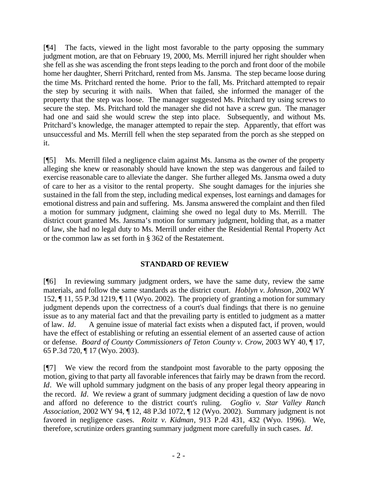[¶4] The facts, viewed in the light most favorable to the party opposing the summary judgment motion, are that on February 19, 2000, Ms. Merrill injured her right shoulder when she fell as she was ascending the front steps leading to the porch and front door of the mobile home her daughter, Sherri Pritchard, rented from Ms. Jansma. The step became loose during the time Ms. Pritchard rented the home. Prior to the fall, Ms. Pritchard attempted to repair the step by securing it with nails. When that failed, she informed the manager of the property that the step was loose. The manager suggested Ms. Pritchard try using screws to secure the step. Ms. Pritchard told the manager she did not have a screw gun. The manager had one and said she would screw the step into place. Subsequently, and without Ms. Pritchard's knowledge, the manager attempted to repair the step. Apparently, that effort was unsuccessful and Ms. Merrill fell when the step separated from the porch as she stepped on it.

[¶5] Ms. Merrill filed a negligence claim against Ms. Jansma as the owner of the property alleging she knew or reasonably should have known the step was dangerous and failed to exercise reasonable care to alleviate the danger. She further alleged Ms. Jansma owed a duty of care to her as a visitor to the rental property. She sought damages for the injuries she sustained in the fall from the step, including medical expenses, lost earnings and damages for emotional distress and pain and suffering. Ms. Jansma answered the complaint and then filed a motion for summary judgment, claiming she owed no legal duty to Ms. Merrill. The district court granted Ms. Jansma's motion for summary judgment, holding that, as a matter of law, she had no legal duty to Ms. Merrill under either the Residential Rental Property Act or the common law as set forth in § 362 of the Restatement.

### **STANDARD OF REVIEW**

[¶6] In reviewing summary judgment orders, we have the same duty, review the same materials, and follow the same standards as the district court. *Hoblyn v. Johnson*, 2002 WY 152, ¶ 11, 55 P.3d 1219, ¶ 11 (Wyo. 2002). The propriety of granting a motion for summary judgment depends upon the correctness of a court's dual findings that there is no genuine issue as to any material fact and that the prevailing party is entitled to judgment as a matter of law. *Id*. A genuine issue of material fact exists when a disputed fact, if proven, would have the effect of establishing or refuting an essential element of an asserted cause of action or defense. *Board of County Commissioners of Teton County v. Crow*, 2003 WY 40, ¶ 17, 65 P.3d 720, ¶ 17 (Wyo. 2003).

[¶7] We view the record from the standpoint most favorable to the party opposing the motion, giving to that party all favorable inferences that fairly may be drawn from the record. *Id*. We will uphold summary judgment on the basis of any proper legal theory appearing in the record. *Id*. We review a grant of summary judgment deciding a question of law de novo and afford no deference to the district court's ruling. *Goglio v. Star Valley Ranch Association*, 2002 WY 94, ¶ 12, 48 P.3d 1072, ¶ 12 (Wyo. 2002). Summary judgment is not favored in negligence cases. *Roitz v. Kidman*, 913 P.2d 431, 432 (Wyo. 1996). We, therefore, scrutinize orders granting summary judgment more carefully in such cases. *Id*.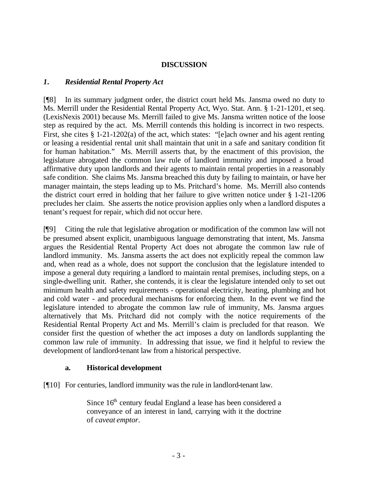#### **DISCUSSION**

### *1. Residential Rental Property Act*

[¶8] In its summary judgment order, the district court held Ms. Jansma owed no duty to Ms. Merrill under the Residential Rental Property Act, Wyo. Stat. Ann. § 1-21-1201, et seq. (LexisNexis 2001) because Ms. Merrill failed to give Ms. Jansma written notice of the loose step as required by the act. Ms. Merrill contends this holding is incorrect in two respects. First, she cites § 1-21-1202(a) of the act, which states: "[e]ach owner and his agent renting or leasing a residential rental unit shall maintain that unit in a safe and sanitary condition fit for human habitation." Ms. Merrill asserts that, by the enactment of this provision, the legislature abrogated the common law rule of landlord immunity and imposed a broad affirmative duty upon landlords and their agents to maintain rental properties in a reasonably safe condition. She claims Ms. Jansma breached this duty by failing to maintain, or have her manager maintain, the steps leading up to Ms. Pritchard's home. Ms. Merrill also contends the district court erred in holding that her failure to give written notice under § 1-21-1206 precludes her claim. She asserts the notice provision applies only when a landlord disputes a tenant's request for repair, which did not occur here.

[¶9] Citing the rule that legislative abrogation or modification of the common law will not be presumed absent explicit, unambiguous language demonstrating that intent, Ms. Jansma argues the Residential Rental Property Act does not abrogate the common law rule of landlord immunity. Ms. Jansma asserts the act does not explicitly repeal the common law and, when read as a whole, does not support the conclusion that the legislature intended to impose a general duty requiring a landlord to maintain rental premises, including steps, on a single-dwelling unit. Rather, she contends, it is clear the legislature intended only to set out minimum health and safety requirements - operational electricity, heating, plumbing and hot and cold water - and procedural mechanisms for enforcing them. In the event we find the legislature intended to abrogate the common law rule of immunity, Ms. Jansma argues alternatively that Ms. Pritchard did not comply with the notice requirements of the Residential Rental Property Act and Ms. Merrill's claim is precluded for that reason. We consider first the question of whether the act imposes a duty on landlords supplanting the common law rule of immunity. In addressing that issue, we find it helpful to review the development of landlord-tenant law from a historical perspective.

### **a. Historical development**

[¶10] For centuries, landlord immunity was the rule in landlord-tenant law.

Since  $16<sup>th</sup>$  century feudal England a lease has been considered a conveyance of an interest in land, carrying with it the doctrine of *caveat emptor*.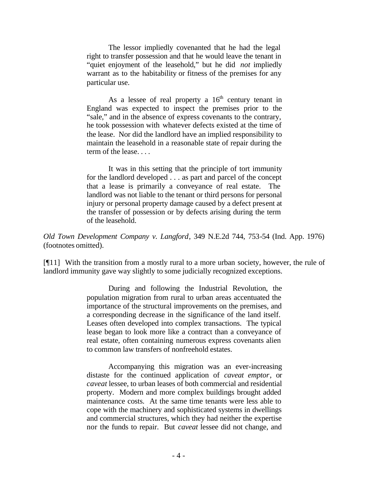The lessor impliedly covenanted that he had the legal right to transfer possession and that he would leave the tenant in "quiet enjoyment of the leasehold," but he did *not* impliedly warrant as to the habitability or fitness of the premises for any particular use.

As a lessee of real property a  $16<sup>th</sup>$  century tenant in England was expected to inspect the premises prior to the "sale," and in the absence of express covenants to the contrary, he took possession with whatever defects existed at the time of the lease. Nor did the landlord have an implied responsibility to maintain the leasehold in a reasonable state of repair during the term of the lease. . . .

It was in this setting that the principle of tort immunity for the landlord developed . . . as part and parcel of the concept that a lease is primarily a conveyance of real estate. The landlord was not liable to the tenant or third persons for personal injury or personal property damage caused by a defect present at the transfer of possession or by defects arising during the term of the leasehold.

*Old Town Development Company v. Langford*, 349 N.E.2d 744, 753-54 (Ind. App. 1976) (footnotes omitted).

[¶11] With the transition from a mostly rural to a more urban society, however, the rule of landlord immunity gave way slightly to some judicially recognized exceptions.

> During and following the Industrial Revolution, the population migration from rural to urban areas accentuated the importance of the structural improvements on the premises, and a corresponding decrease in the significance of the land itself. Leases often developed into complex transactions. The typical lease began to look more like a contract than a conveyance of real estate, often containing numerous express covenants alien to common law transfers of nonfreehold estates.

> Accompanying this migration was an ever-increasing distaste for the continued application of *caveat emptor*, or *caveat* lessee, to urban leases of both commercial and residential property. Modern and more complex buildings brought added maintenance costs. At the same time tenants were less able to cope with the machinery and sophisticated systems in dwellings and commercial structures, which they had neither the expertise nor the funds to repair. But *caveat* lessee did not change, and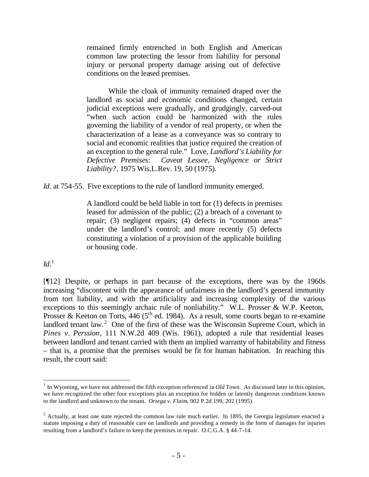remained firmly entrenched in both English and American common law protecting the lessor from liability for personal injury or personal property damage arising out of defective conditions on the leased premises.

While the cloak of immunity remained draped over the landlord as social and economic conditions changed, certain judicial exceptions were gradually, and grudgingly, carved-out "when such action could be harmonized with the rules governing the liability of a vendor of real property, or when the characterization of a lease as a conveyance was so contrary to social and economic realities that justice required the creation of an exception to the general rule." Love, *Landlord's Liability for Defective Premises: Caveat Lessee, Negligence or Strict Liability?*, 1975 Wis.L.Rev. 19, 50 (1975).

*Id.* at 754-55. Five exceptions to the rule of landlord immunity emerged.

A landlord could be held liable in tort for (1) defects in premises leased for admission of the public; (2) a breach of a covenant to repair; (3) negligent repairs; (4) defects in "common areas" under the landlord's control; and more recently (5) defects constituting a violation of a provision of the applicable building or housing code.

*Id*. 1

l

[¶12] Despite, or perhaps in part because of the exceptions, there was by the 1960s increasing "discontent with the appearance of unfairness in the landlord's general immunity from tort liability, and with the artificiality and increasing complexity of the various exceptions to this seemingly archaic rule of nonliability." W.L. Prosser & W.P. Keeton, Prosser & Keeton on Torts,  $446 (5<sup>th</sup>$  ed. 1984). As a result, some courts began to re-examine landlord tenant law.<sup>2</sup> One of the first of these was the Wisconsin Supreme Court, which in *Pines v. Perssion*, 111 N.W.2d 409 (Wis. 1961), adopted a rule that residential leases between landlord and tenant carried with them an implied warranty of habitability and fitness – that is, a promise that the premises would be fit for human habitation. In reaching this result, the court said:

<sup>&</sup>lt;sup>1</sup> In Wyoming, we have not addressed the fifth exception referenced in *Old Town*. As discussed later in this opinion, we have recognized the other four exceptions plus an exception for hidden or latently dangerous conditions known to the landlord and unknown to the tenant. *Ortega v. Flaim*, 902 P.2d 199, 202 (1995).

<sup>&</sup>lt;sup>2</sup> Actually, at least one state rejected the common law rule much earlier. In 1895, the Georgia legislature enacted a statute imposing a duty of reasonable care on landlords and providing a remedy in the form of damages for injuries resulting from a landlord's failure to keep the premises in repair. O.C.G.A. § 44-7-14.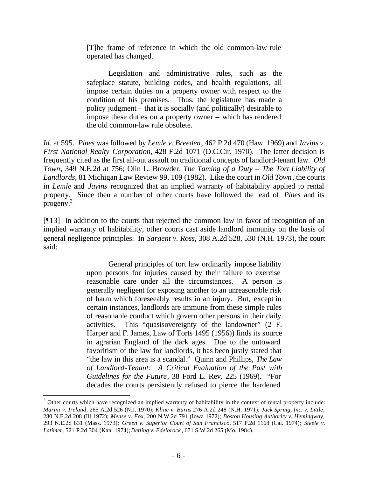[T]he frame of reference in which the old common-law rule operated has changed.

Legislation and administrative rules, such as the safeplace statute, building codes, and health regulations, all impose certain duties on a property owner with respect to the condition of his premises. Thus, the legislature has made a policy judgment – that it is socially (and politically) desirable to impose these duties on a property owner – which has rendered the old common-law rule obsolete.

*Id*. at 595. *Pines* was followed by *Lemle v. Breeden*, 462 P.2d 470 (Haw. 1969) and *Javins v. First National Realty Corporation*, 428 F.2d 1071 (D.C.Cir. 1970). The latter decision is frequently cited as the first all-out assault on traditional concepts of landlord-tenant law. *Old Town*, 349 N.E.2d at 756; Olin L. Browder*, The Taming of a Duty – The Tort Liability of Landlords*, 81 Michigan Law Review 99, 109 (1982). Like the court in *Old Town*, the courts in *Lemle* and *Javins* recognized that an implied warranty of habitability applied to rental property. Since then a number of other courts have followed the lead of *Pines* and its progeny.<sup>3</sup>

[¶13] In addition to the courts that rejected the common law in favor of recognition of an implied warranty of habitability, other courts cast aside landlord immunity on the basis of general negligence principles. In *Sargent v. Ross*, 308 A.2d 528, 530 (N.H. 1973), the court said:

> General principles of tort law ordinarily impose liability upon persons for injuries caused by their failure to exercise reasonable care under all the circumstances. A person is generally negligent for exposing another to an unreasonable risk of harm which foreseeably results in an injury. But, except in certain instances, landlords are immune from these simple rules of reasonable conduct which govern other persons in their daily activities. This "quasisovereignty of the landowner" (2 F. Harper and F. James, Law of Torts 1495 (1956)) finds its source in agrarian England of the dark ages. Due to the untoward favoritism of the law for landlords, it has been justly stated that "the law in this area is a scandal." Quinn and Phillips, *The Law of Landlord-Tenant: A Critical Evaluation of the Past with Guidelines for the Future*, 38 Ford L. Rev. 225 (1969). "For decades the courts persistently refused to pierce the hardened

l

 $3$  Other courts which have recognized an implied warranty of habitability in the context of rental property include: *Marini v. Ireland*, 265 A.2d 526 (N.J. 1970); *Kline v. Burns* 276 A.2d 248 (N.H. 1971); *Jack Spring, Inc. v. Little,*  280 N.E.2d 208 (Ill 1972); *Mease v. Fox,* 200 N.W.2d 791 (Iowa 1972); *Boston Housing Authority v. Hemingway,*  293 N.E.2d 831 (Mass. 1973); *Green v. Superior Court of San Francisco*, 517 P.2d 1168 (Cal. 1974); *Steele v. Latimer*, 521 P.2d 304 (Kan. 1974); *Detling v. Edelbrock* , 671 S.W.2d 265 (Mo. 1984).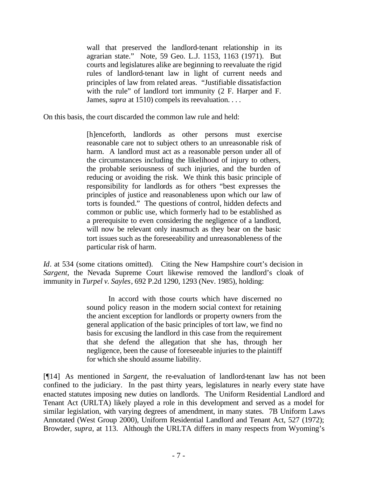wall that preserved the landlord-tenant relationship in its agrarian state." Note, 59 Geo. L.J. 1153, 1163 (1971). But courts and legislatures alike are beginning to reevaluate the rigid rules of landlord-tenant law in light of current needs and principles of law from related areas. "Justifiable dissatisfaction with the rule" of landlord tort immunity (2 F. Harper and F. James, *supra* at 1510) compels its reevaluation. . . .

On this basis, the court discarded the common law rule and held:

[h]enceforth, landlords as other persons must exercise reasonable care not to subject others to an unreasonable risk of harm. A landlord must act as a reasonable person under all of the circumstances including the likelihood of injury to others, the probable seriousness of such injuries, and the burden of reducing or avoiding the risk. We think this basic principle of responsibility for landlords as for others "best expresses the principles of justice and reasonableness upon which our law of torts is founded." The questions of control, hidden defects and common or public use, which formerly had to be established as a prerequisite to even considering the negligence of a landlord, will now be relevant only inasmuch as they bear on the basic tort issues such as the foreseeability and unreasonableness of the particular risk of harm.

*Id.* at 534 (some citations omitted). Citing the New Hampshire court's decision in *Sargent*, the Nevada Supreme Court likewise removed the landlord's cloak of immunity in *Turpel v. Sayles*, 692 P.2d 1290, 1293 (Nev. 1985), holding:

> In accord with those courts which have discerned no sound policy reason in the modern social context for retaining the ancient exception for landlords or property owners from the general application of the basic principles of tort law, we find no basis for excusing the landlord in this case from the requirement that she defend the allegation that she has, through her negligence, been the cause of foreseeable injuries to the plaintiff for which she should assume liability.

[¶14] As mentioned in *Sargent*, the re-evaluation of landlord-tenant law has not been confined to the judiciary. In the past thirty years, legislatures in nearly every state have enacted statutes imposing new duties on landlords. The Uniform Residential Landlord and Tenant Act (URLTA) likely played a role in this development and served as a model for similar legislation, with varying degrees of amendment, in many states. 7B Uniform Laws Annotated (West Group 2000), Uniform Residential Landlord and Tenant Act, 527 (1972); Browder, *supra*, at 113. Although the URLTA differs in many respects from Wyoming's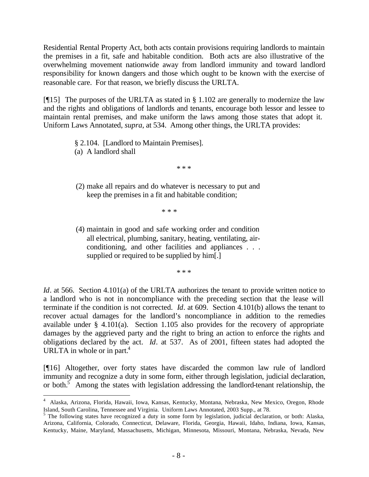Residential Rental Property Act, both acts contain provisions requiring landlords to maintain the premises in a fit, safe and habitable condition. Both acts are also illustrative of the overwhelming movement nationwide away from landlord immunity and toward landlord responsibility for known dangers and those which ought to be known with the exercise of reasonable care. For that reason, we briefly discuss the URLTA.

[ $[15]$ ] The purposes of the URLTA as stated in § 1.102 are generally to modernize the law and the rights and obligations of landlords and tenants, encourage both lessor and lessee to maintain rental premises, and make uniform the laws among those states that adopt it. Uniform Laws Annotated, *supra*, at 534. Among other things, the URLTA provides:

§ 2.104. [Landlord to Maintain Premises].

(a) A landlord shall

l

\* \* \*

(2) make all repairs and do whatever is necessary to put and keep the premises in a fit and habitable condition;

 $* * *$ 

(4) maintain in good and safe working order and condition all electrical, plumbing, sanitary, heating, ventilating, airconditioning, and other facilities and appliances . . . supplied or required to be supplied by him[.]

\* \* \*

*Id.* at 566. Section 4.101(a) of the URLTA authorizes the tenant to provide written notice to a landlord who is not in noncompliance with the preceding section that the lease will terminate if the condition is not corrected. *Id*. at 609. Section 4.101(b) allows the tenant to recover actual damages for the landlord's noncompliance in addition to the remedies available under § 4.101(a). Section 1.105 also provides for the recovery of appropriate damages by the aggrieved party and the right to bring an action to enforce the rights and obligations declared by the act. *Id*. at 537. As of 2001, fifteen states had adopted the URLTA in whole or in part.<sup>4</sup>

[¶16] Altogether, over forty states have discarded the common law rule of landlord immunity and recognize a duty in some form, either through legislation, judicial declaration, or both.<sup>5</sup> Among the states with legislation addressing the landlord-tenant relationship, the

<sup>4</sup> Alaska, Arizona, Florida, Hawaii, Iowa, Kansas, Kentucky, Montana, Nebraska, New Mexico, Oregon, Rhode Island, South Carolina, Tennessee and Virginia. Uniform Laws Annotated, 2003 Supp., at 78.

<sup>&</sup>lt;sup>5</sup> The following states have recognized a duty in some form by legislation, judicial declaration, or both: Alaska, Arizona, California, Colorado, Connecticut, Delaware, Florida, Georgia, Hawaii, Idaho, Indiana, Iowa, Kansas, Kentucky, Maine, Maryland, Massachusetts, Michigan, Minnesota, Missouri, Montana, Nebraska, Nevada, New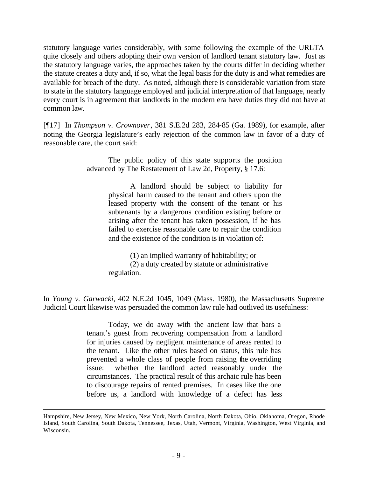statutory language varies considerably, with some following the example of the URLTA quite closely and others adopting their own version of landlord tenant statutory law. Just as the statutory language varies, the approaches taken by the courts differ in deciding whether the statute creates a duty and, if so, what the legal basis for the duty is and what remedies are available for breach of the duty. As noted, although there is considerable variation from state to state in the statutory language employed and judicial interpretation of that language, nearly every court is in agreement that landlords in the modern era have duties they did not have at common law.

[¶17] In *Thompson v. Crownover*, 381 S.E.2d 283, 284-85 (Ga. 1989), for example, after noting the Georgia legislature's early rejection of the common law in favor of a duty of reasonable care, the court said:

> The public policy of this state supports the position advanced by The Restatement of Law 2d, Property, § 17.6:

> > A landlord should be subject to liability for physical harm caused to the tenant and others upon the leased property with the consent of the tenant or his subtenants by a dangerous condition existing before or arising after the tenant has taken possession, if he has failed to exercise reasonable care to repair the condition and the existence of the condition is in violation of:

(1) an implied warranty of habitability; or (2) a duty created by statute or administrative regulation.

In *Young v. Garwacki*, 402 N.E.2d 1045, 1049 (Mass. 1980), the Massachusetts Supreme Judicial Court likewise was persuaded the common law rule had outlived its usefulness:

> Today, we do away with the ancient law that bars a tenant's guest from recovering compensation from a landlord for injuries caused by negligent maintenance of areas rented to the tenant. Like the other rules based on status, this rule has prevented a whole class of people from raising the overriding issue: whether the landlord acted reasonably under the circumstances. The practical result of this archaic rule has been to discourage repairs of rented premises. In cases like the one before us, a landlord with knowledge of a defect has less

l

Hampshire, New Jersey, New Mexico, New York, North Carolina, North Dakota, Ohio, Oklahoma, Oregon, Rhode Island, South Carolina, South Dakota, Tennessee, Texas, Utah, Vermont, Virginia, Washington, West Virginia, and Wisconsin.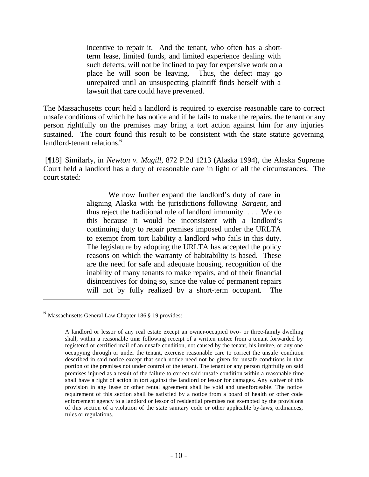incentive to repair it. And the tenant, who often has a shortterm lease, limited funds, and limited experience dealing with such defects, will not be inclined to pay for expensive work on a place he will soon be leaving. Thus, the defect may go unrepaired until an unsuspecting plaintiff finds herself with a lawsuit that care could have prevented.

The Massachusetts court held a landlord is required to exercise reasonable care to correct unsafe conditions of which he has notice and if he fails to make the repairs, the tenant or any person rightfully on the premises may bring a tort action against him for any injuries sustained. The court found this result to be consistent with the state statute governing landlord-tenant relations.<sup>6</sup>

 [¶18] Similarly, in *Newton v. Magill*, 872 P.2d 1213 (Alaska 1994), the Alaska Supreme Court held a landlord has a duty of reasonable care in light of all the circumstances. The court stated:

> We now further expand the landlord's duty of care in aligning Alaska with the jurisdictions following *Sargent*, and thus reject the traditional rule of landlord immunity. . . . We do this because it would be inconsistent with a landlord's continuing duty to repair premises imposed under the URLTA to exempt from tort liability a landlord who fails in this duty. The legislature by adopting the URLTA has accepted the policy reasons on which the warranty of habitability is based. These are the need for safe and adequate housing, recognition of the inability of many tenants to make repairs, and of their financial disincentives for doing so, since the value of permanent repairs will not by fully realized by a short-term occupant. The

l

<sup>6</sup> Massachusetts General Law Chapter 186 § 19 provides:

A landlord or lessor of any real estate except an owner-occupied two- or three-family dwelling shall, within a reasonable time following receipt of a written notice from a tenant forwarded by registered or certified mail of an unsafe condition, not caused by the tenant, his invitee, or any one occupying through or under the tenant, exercise reasonable care to correct the unsafe condition described in said notice except that such notice need not be given for unsafe conditions in that portion of the premises not under control of the tenant. The tenant or any person rightfully on said premises injured as a result of the failure to correct said unsafe condition within a reasonable time shall have a right of action in tort against the landlord or lessor for damages. Any waiver of this provision in any lease or other rental agreement shall be void and unenforceable. The notice requirement of this section shall be satisfied by a notice from a board of health or other code enforcement agency to a landlord or lessor of residential premises not exempted by the provisions of this section of a violation of the state sanitary code or other applicable by-laws, ordinances, rules or regulations.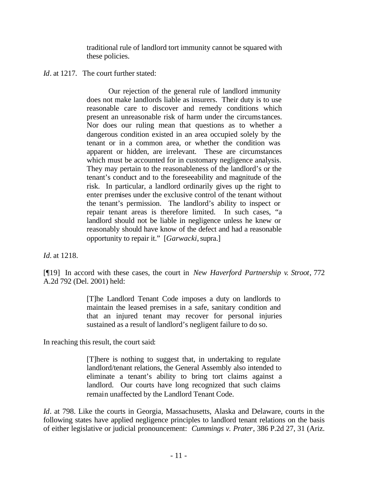traditional rule of landlord tort immunity cannot be squared with these policies.

### *Id*. at 1217. The court further stated:

Our rejection of the general rule of landlord immunity does not make landlords liable as insurers. Their duty is to use reasonable care to discover and remedy conditions which present an unreasonable risk of harm under the circumstances. Nor does our ruling mean that questions as to whether a dangerous condition existed in an area occupied solely by the tenant or in a common area, or whether the condition was apparent or hidden, are irrelevant. These are circumstances which must be accounted for in customary negligence analysis. They may pertain to the reasonableness of the landlord's or the tenant's conduct and to the foreseeability and magnitude of the risk. In particular, a landlord ordinarily gives up the right to enter premises under the exclusive control of the tenant without the tenant's permission. The landlord's ability to inspect or repair tenant areas is therefore limited. In such cases, "a landlord should not be liable in negligence unless he knew or reasonably should have know of the defect and had a reasonable opportunity to repair it." [*Garwacki*, supra.]

*Id.* at 1218.

[¶19] In accord with these cases, the court in *New Haverford Partnership v*. *Stroot*, 772 A.2d 792 (Del. 2001) held:

> [T]he Landlord Tenant Code imposes a duty on landlords to maintain the leased premises in a safe, sanitary condition and that an injured tenant may recover for personal injuries sustained as a result of landlord's negligent failure to do so.

In reaching this result, the court said:

[T]here is nothing to suggest that, in undertaking to regulate landlord/tenant relations, the General Assembly also intended to eliminate a tenant's ability to bring tort claims against a landlord. Our courts have long recognized that such claims remain unaffected by the Landlord Tenant Code.

*Id*. at 798. Like the courts in Georgia, Massachusetts, Alaska and Delaware, courts in the following states have applied negligence principles to landlord tenant relations on the basis of either legislative or judicial pronouncement: *Cummings v. Prater*, 386 P.2d 27, 31 (Ariz.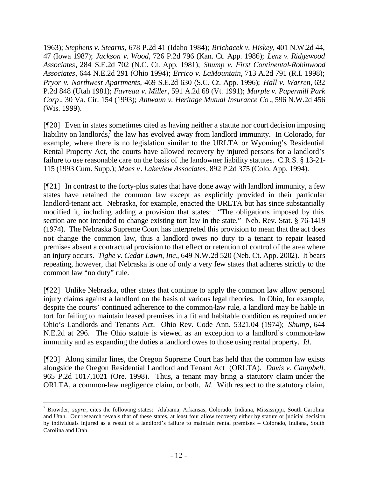1963); *Stephens v. Stearns*, 678 P.2d 41 (Idaho 1984); *Brichacek v. Hiskey*, 401 N.W.2d 44, 47 (Iowa 1987); *Jackson v. Wood*, 726 P.2d 796 (Kan. Ct. App. 1986); *Lenz v. Ridgewood Associates*, 284 S.E.2d 702 (N.C. Ct. App. 1981); *Shump v. First Continental-Robinwood Associates*, 644 N.E.2d 291 (Ohio 1994); *Errico v. LaMountain*, 713 A.2d 791 (R.I. 1998); *Pryor v. Northwest Apartments*, 469 S.E.2d 630 (S.C. Ct. App. 1996); *Hall v. Warren*, 632 P.2d 848 (Utah 1981); *Favreau v. Miller*, 591 A.2d 68 (Vt. 1991); *Marple v. Papermill Park Corp*., 30 Va. Cir. 154 (1993); *Antwaun v. Heritage Mutual Insurance Co*., 596 N.W.2d 456 (Wis. 1999).

[¶20] Even in states sometimes cited as having neither a statute nor court decision imposing liability on landlords,<sup>7</sup> the law has evolved away from landlord immunity. In Colorado, for example, where there is no legislation similar to the URLTA or Wyoming's Residential Rental Property Act, the courts have allowed recovery by injured persons for a landlord's failure to use reasonable care on the basis of the landowner liability statutes. C.R.S. § 13-21- 115 (1993 Cum. Supp.); *Maes v*. *Lakeview Associates*, 892 P.2d 375 (Colo. App. 1994).

 $[921]$  In contrast to the forty-plus states that have done away with landlord immunity, a few states have retained the common law except as explicitly provided in their particular landlord-tenant act. Nebraska, for example, enacted the URLTA but has since substantially modified it, including adding a provision that states: "The obligations imposed by this section are not intended to change existing tort law in the state." Neb. Rev. Stat. § 76-1419 (1974). The Nebraska Supreme Court has interpreted this provision to mean that the act does not change the common law, thus a landlord owes no duty to a tenant to repair leased premises absent a contractual provision to that effect or retention of control of the area where an injury occurs. *Tighe v. Cedar Lawn, Inc*., 649 N.W.2d 520 (Neb. Ct. App. 2002). It bears repeating, however, that Nebraska is one of only a very few states that adheres strictly to the common law "no duty" rule.

[¶22] Unlike Nebraska, other states that continue to apply the common law allow personal injury claims against a landlord on the basis of various legal theories. In Ohio, for example, despite the courts' continued adherence to the common-law rule, a landlord may be liable in tort for failing to maintain leased premises in a fit and habitable condition as required under Ohio's Landlords and Tenants Act. Ohio Rev. Code Ann. 5321.04 (1974); *Shump*, 644 N.E.2d at 296. The Ohio statute is viewed as an exception to a landlord's common-law immunity and as expanding the duties a landlord owes to those using rental property. *Id*.

[¶23] Along similar lines, the Oregon Supreme Court has held that the common law exists alongside the Oregon Residential Landlord and Tenant Act (ORLTA). *Davis v. Campbell*, 965 P.2d 1017,1021 (Ore. 1998). Thus, a tenant may bring a statutory claim under the ORLTA, a common-law negligence claim, or both. *Id*. With respect to the statutory claim,

l

<sup>7</sup> Browder, *supra*, cites the following states: Alabama, Arkansas, Colorado, Indiana, Mississippi, South Carolina and Utah. Our research reveals that of these states, at least four allow recovery either by statute or judicial decision by individuals injured as a result of a landlord's failure to maintain rental premises – Colorado, Indiana, South Carolina and Utah.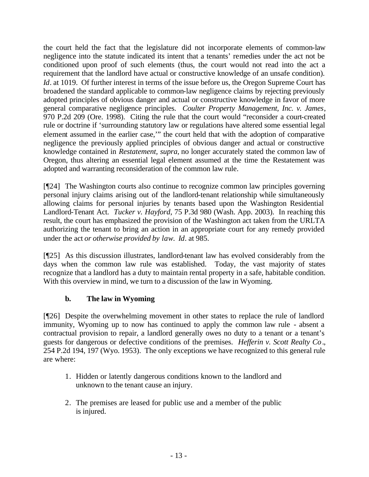the court held the fact that the legislature did not incorporate elements of common-law negligence into the statute indicated its intent that a tenants' remedies under the act not be conditioned upon proof of such elements (thus, the court would not read into the act a requirement that the landlord have actual or constructive knowledge of an unsafe condition). *Id.* at 1019. Of further interest in terms of the issue before us, the Oregon Supreme Court has broadened the standard applicable to common-law negligence claims by rejecting previously adopted principles of obvious danger and actual or constructive knowledge in favor of more general comparative negligence principles. *Coulter Property Management, Inc. v. James*, 970 P.2d 209 (Ore. 1998). Citing the rule that the court would "reconsider a court-created rule or doctrine if 'surrounding statutory law or regulations have altered some essential legal element assumed in the earlier case,'" the court held that with the adoption of comparative negligence the previously applied principles of obvious danger and actual or constructive knowledge contained in *Restatement, supra,* no longer accurately stated the common law of Oregon, thus altering an essential legal element assumed at the time the Restatement was adopted and warranting reconsideration of the common law rule.

[¶24] The Washington courts also continue to recognize common law principles governing personal injury claims arising out of the landlord-tenant relationship while simultaneously allowing claims for personal injuries by tenants based upon the Washington Residential Landlord-Tenant Act. *Tucker v. Hayford*, 75 P.3d 980 (Wash. App. 2003). In reaching this result, the court has emphasized the provision of the Washington act taken from the URLTA authorizing the tenant to bring an action in an appropriate court for any remedy provided under the act *or otherwise provided by law*. *Id*. at 985.

[¶25] As this discussion illustrates, landlord-tenant law has evolved considerably from the days when the common law rule was established. Today, the vast majority of states recognize that a landlord has a duty to maintain rental property in a safe, habitable condition. With this overview in mind, we turn to a discussion of the law in Wyoming.

# **b. The law in Wyoming**

[¶26] Despite the overwhelming movement in other states to replace the rule of landlord immunity, Wyoming up to now has continued to apply the common law rule - absent a contractual provision to repair, a landlord generally owes no duty to a tenant or a tenant's guests for dangerous or defective conditions of the premises. *Hefferin v. Scott Realty Co*., 254 P.2d 194, 197 (Wyo. 1953). The only exceptions we have recognized to this general rule are where:

- 1. Hidden or latently dangerous conditions known to the landlord and unknown to the tenant cause an injury.
- 2. The premises are leased for public use and a member of the public is injured.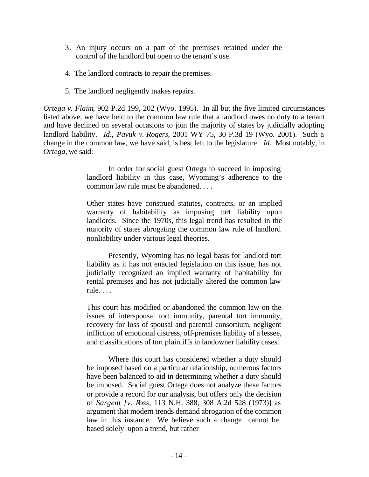- 3. An injury occurs on a part of the premises retained under the control of the landlord but open to the tenant's use.
- 4. The landlord contracts to repair the premises.
- 5. The landlord negligently makes repairs.

*Ortega v. Flaim*, 902 P.2d 199, 202 (Wyo. 1995). In all but the five limited circumstances listed above, we have held to the common law rule that a landlord owes no duty to a tenant and have declined on several occasions to join the majority of states by judicially adopting landlord liability. *Id., Pavuk v. Rogers*, 2001 WY 75, 30 P.3d 19 (Wyo. 2001). Such a change in the common law, we have said, is best left to the legislature. *Id*. Most notably, in *Ortega,* we said:

> In order for social guest Ortega to succeed in imposing landlord liability in this case, Wyoming's adherence to the common law rule must be abandoned. . . .

> Other states have construed statutes, contracts, or an implied warranty of habitability as imposing tort liability upon landlords. Since the 1970s, this legal trend has resulted in the majority of states abrogating the common law rule of landlord nonliability under various legal theories.

> Presently, Wyoming has no legal basis for landlord tort liability as it has not enacted legislation on this issue, has not judicially recognized an implied warranty of habitability for rental premises and has not judicially altered the common law rule. . . .

> This court has modified or abandoned the common law on the issues of interspousal tort immunity, parental tort immunity, recovery for loss of spousal and parental consortium, negligent infliction of emotional distress, off-premises liability of a lessee, and classifications of tort plaintiffs in landowner liability cases.

> Where this court has considered whether a duty should be imposed based on a particular relationship, numerous factors have been balanced to aid in determining whether a duty should be imposed. Social guest Ortega does not analyze these factors or provide a record for our analysis, but offers only the decision of *Sargent [v. Ross*, 113 N.H. 388, 308 A.2d 528 (1973)] as argument that modern trends demand abrogation of the common law in this instance. We believe such a change cannot be based solely upon a trend, but rather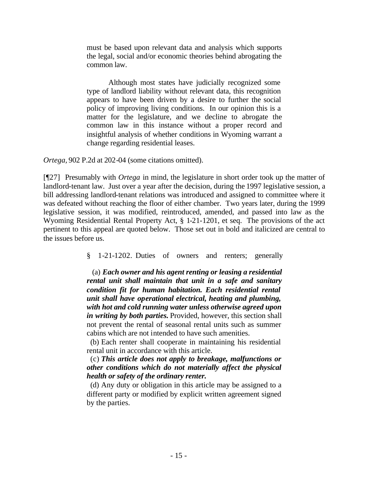must be based upon relevant data and analysis which supports the legal, social and/or economic theories behind abrogating the common law.

Although most states have judicially recognized some type of landlord liability without relevant data, this recognition appears to have been driven by a desire to further the social policy of improving living conditions. In our opinion this is a matter for the legislature, and we decline to abrogate the common law in this instance without a proper record and insightful analysis of whether conditions in Wyoming warrant a change regarding residential leases.

*Ortega,* 902 P.2d at 202-04 (some citations omitted).

[¶27] Presumably with *Ortega* in mind, the legislature in short order took up the matter of landlord-tenant law. Just over a year after the decision, during the 1997 legislative session, a bill addressing landlord-tenant relations was introduced and assigned to committee where it was defeated without reaching the floor of either chamber. Two years later, during the 1999 legislative session, it was modified, reintroduced, amended, and passed into law as the Wyoming Residential Rental Property Act, § 1-21-1201, et seq. The provisions of the act pertinent to this appeal are quoted below. Those set out in bold and italicized are central to the issues before us.

§ 1-21-1202. Duties of owners and renters; generally

 (a) *Each owner and his agent renting or leasing a residential rental unit shall maintain that unit in a safe and sanitary condition fit for human habitation. Each residential rental unit shall have operational electrical, heating and plumbing, with hot and cold running water unless otherwise agreed upon in writing by both parties.* Provided, however, this section shall not prevent the rental of seasonal rental units such as summer cabins which are not intended to have such amenities.

 (b) Each renter shall cooperate in maintaining his residential rental unit in accordance with this article.

 (c) *This article does not apply to breakage, malfunctions or other conditions which do not materially affect the physical health or safety of the ordinary renter.*

 (d) Any duty or obligation in this article may be assigned to a different party or modified by explicit written agreement signed by the parties.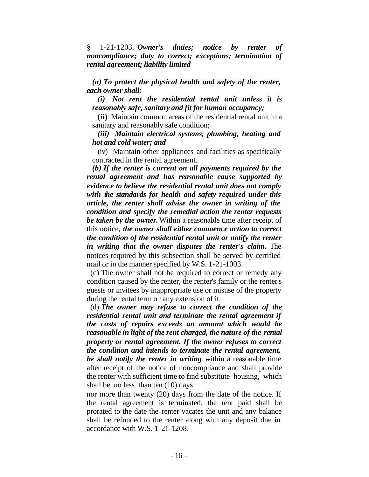§ 1-21-1203. *Owner's duties; notice by renter of noncompliance; duty to correct; exceptions; termination of rental agreement; liability limited*

 *(a) To protect the physical health and safety of the renter, each owner shall:*

 *(i) Not rent the residential rental unit unless it is reasonably safe, sanitary and fit for human occupancy;*

 (ii) Maintain common areas of the residential rental unit in a sanitary and reasonably safe condition;

 *(iii) Maintain electrical systems, plumbing, heating and hot and cold water; and*

 (iv) Maintain other appliances and facilities as specifically contracted in the rental agreement.

 *(b) If the renter is current on all payments required by the rental agreement and has reasonable cause supported by evidence to believe the residential rental unit does not comply with the standards for health and safety required under this article, the renter shall advise the owner in writing of the condition and specify the remedial action the renter requests be taken by the owner.* Within a reasonable time after receipt of this notice, *the owner shall either commence action to correct the condition of the residential rental unit or notify the renter in writing that the owner disputes the renter's claim.* The notices required by this subsection shall be served by certified mail or in the manner specified by W.S. 1-21-1003.

 (c) The owner shall not be required to correct or remedy any condition caused by the renter, the renter's family or the renter's guests or invitees by inappropriate use or misuse of the property during the rental term or any extension of it.

 (d) *The owner may refuse to correct the condition of the residential rental unit and terminate the rental agreement if the costs of repairs exceeds an amount which would be reasonable in light of the rent charged, the nature of the rental property or rental agreement. If the owner refuses to correct the condition and intends to terminate the rental agreement, he shall notify the renter in writing* within a reasonable time after receipt of the notice of noncompliance and shall provide the renter with sufficient time to find substitute housing, which shall be no less than ten (10) days

nor more than twenty (20) days from the date of the notice. If the rental agreement is terminated, the rent paid shall be prorated to the date the renter vacates the unit and any balance shall be refunded to the renter along with any deposit due in accordance with W.S. 1-21-1208.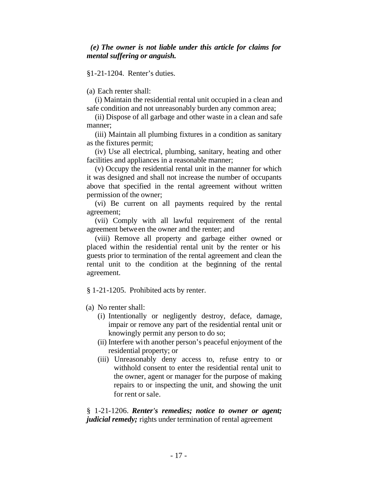#### *(e) The owner is not liable under this article for claims for mental suffering or anguish.*

§1-21-1204. Renter's duties.

(a) Each renter shall:

(i) Maintain the residential rental unit occupied in a clean and safe condition and not unreasonably burden any common area;

(ii) Dispose of all garbage and other waste in a clean and safe manner;

(iii) Maintain all plumbing fixtures in a condition as sanitary as the fixtures permit;

(iv) Use all electrical, plumbing, sanitary, heating and other facilities and appliances in a reasonable manner;

(v) Occupy the residential rental unit in the manner for which it was designed and shall not increase the number of occupants above that specified in the rental agreement without written permission of the owner;

(vi) Be current on all payments required by the rental agreement;

(vii) Comply with all lawful requirement of the rental agreement between the owner and the renter; and

(viii) Remove all property and garbage either owned or placed within the residential rental unit by the renter or his guests prior to termination of the rental agreement and clean the rental unit to the condition at the beginning of the rental agreement.

§ 1-21-1205. Prohibited acts by renter.

- (a) No renter shall:
	- (i) Intentionally or negligently destroy, deface, damage, impair or remove any part of the residential rental unit or knowingly permit any person to do so;
	- (ii) Interfere with another person's peaceful enjoyment of the residential property; or
	- (iii) Unreasonably deny access to, refuse entry to or withhold consent to enter the residential rental unit to the owner, agent or manager for the purpose of making repairs to or inspecting the unit, and showing the unit for rent or sale.

§ 1-21-1206. *Renter's remedies; notice to owner or agent; judicial remedy;* rights under termination of rental agreement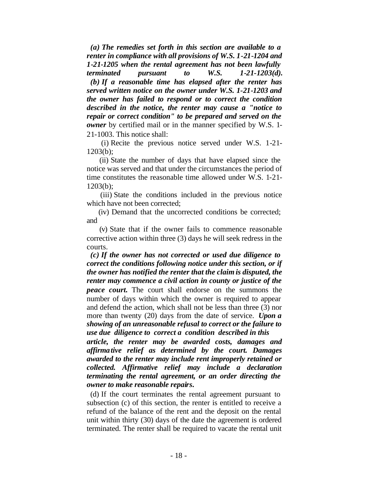*(a) The remedies set forth in this section are available to a renter in compliance with all provisions of W.S. 1-21-1204 and 1-21-1205 when the rental agreement has not been lawfully terminated pursuant to W.S. 1-21-1203(d). (b) If a reasonable time has elapsed after the renter has served written notice on the owner under W.S. 1-21-1203 and the owner has failed to respond or to correct the condition described in the notice, the renter may cause a "notice to repair or correct condition" to be prepared and served on the owner* by certified mail or in the manner specified by W.S. 1- 21-1003. This notice shall:

 (i) Recite the previous notice served under W.S. 1-21- 1203(b);

 (ii) State the number of days that have elapsed since the notice was served and that under the circumstances the period of time constitutes the reasonable time allowed under W.S. 1-21- 1203(b);

 (iii) State the conditions included in the previous notice which have not been corrected;

 (iv) Demand that the uncorrected conditions be corrected; and

 (v) State that if the owner fails to commence reasonable corrective action within three (3) days he will seek redress in the courts.

 *(c) If the owner has not corrected or used due diligence to correct the conditions following notice under this section, or if the owner has notified the renter that the claim is disputed, the renter may commence a civil action in county or justice of the peace court.* The court shall endorse on the summons the number of days within which the owner is required to appear and defend the action, which shall not be less than three (3) nor more than twenty (20) days from the date of service. *Upon a showing of an unreasonable refusal to correct or the failure to use due diligence to correct a condition described in this* 

*article, the renter may be awarded costs, damages and affirmative relief as determined by the court. Damages awarded to the renter may include rent improperly retained or collected. Affirmative relief may include a declaration terminating the rental agreement, or an order directing the owner to make reasonable repairs.*

 (d) If the court terminates the rental agreement pursuant to subsection (c) of this section, the renter is entitled to receive a refund of the balance of the rent and the deposit on the rental unit within thirty (30) days of the date the agreement is ordered terminated. The renter shall be required to vacate the rental unit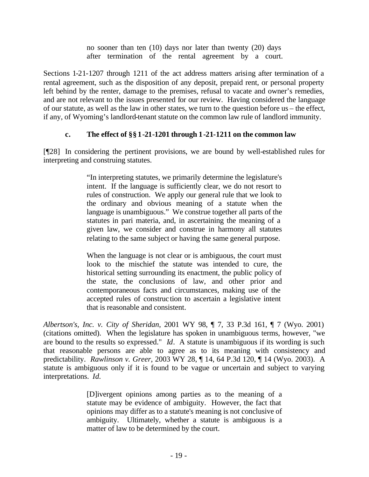no sooner than ten (10) days nor later than twenty (20) days after termination of the rental agreement by a court.

Sections 1-21-1207 through 1211 of the act address matters arising after termination of a rental agreement, such as the disposition of any deposit, prepaid rent, or personal property left behind by the renter, damage to the premises, refusal to vacate and owner's remedies, and are not relevant to the issues presented for our review. Having considered the language of our statute, as well as the law in other states, we turn to the question before us – the effect, if any, of Wyoming's landlord-tenant statute on the common law rule of landlord immunity.

# **c. The effect of §§ 1-21-1201 through 1-21-1211 on the common law**

[¶28] In considering the pertinent provisions, we are bound by well-established rules for interpreting and construing statutes.

> "In interpreting statutes, we primarily determine the legislature's intent. If the language is sufficiently clear, we do not resort to rules of construction. We apply our general rule that we look to the ordinary and obvious meaning of a statute when the language is unambiguous." We construe together all parts of the statutes in pari materia, and, in ascertaining the meaning of a given law, we consider and construe in harmony all statutes relating to the same subject or having the same general purpose.

> When the language is not clear or is ambiguous, the court must look to the mischief the statute was intended to cure, the historical setting surrounding its enactment, the public policy of the state, the conclusions of law, and other prior and contemporaneous facts and circumstances, making use of the accepted rules of construction to ascertain a legislative intent that is reasonable and consistent.

*Albertson's, Inc. v. City of Sheridan*, 2001 WY 98, ¶ 7, 33 P.3d 161, ¶ 7 (Wyo. 2001) (citations omitted). When the legislature has spoken in unambiguous terms, however, "we are bound to the results so expressed." *Id*. A statute is unambiguous if its wording is such that reasonable persons are able to agree as to its meaning with consistency and predictability. *Rawlinson v. Greer*, 2003 WY 28, ¶ 14, 64 P.3d 120, ¶ 14 (Wyo. 2003). A statute is ambiguous only if it is found to be vague or uncertain and subject to varying interpretations. *Id.*

> [D]ivergent opinions among parties as to the meaning of a statute may be evidence of ambiguity. However, the fact that opinions may differ as to a statute's meaning is not conclusive of ambiguity. Ultimately, whether a statute is ambiguous is a matter of law to be determined by the court.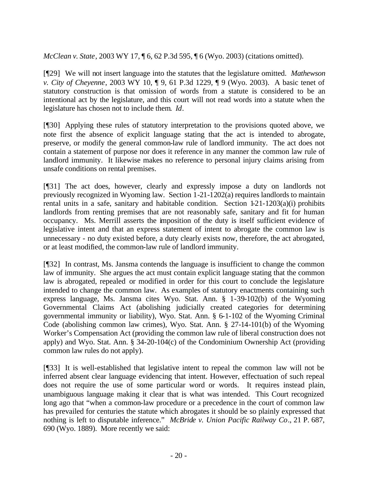*McClean v. State*, 2003 WY 17, ¶ 6, 62 P.3d 595, ¶ 6 (Wyo. 2003) (citations omitted).

[¶29] We will not insert language into the statutes that the legislature omitted. *Mathewson v. City of Cheyenne*, 2003 WY 10, ¶ 9, 61 P.3d 1229, ¶ 9 (Wyo. 2003). A basic tenet of statutory construction is that omission of words from a statute is considered to be an intentional act by the legislature, and this court will not read words into a statute when the legislature has chosen not to include them*. Id*.

[¶30] Applying these rules of statutory interpretation to the provisions quoted above, we note first the absence of explicit language stating that the act is intended to abrogate, preserve, or modify the general common-law rule of landlord immunity. The act does not contain a statement of purpose nor does it reference in any manner the common law rule of landlord immunity. It likewise makes no reference to personal injury claims arising from unsafe conditions on rental premises.

[¶31] The act does, however, clearly and expressly impose a duty on landlords not previously recognized in Wyoming law. Section 1-21-1202(a) requires landlords to maintain rental units in a safe, sanitary and habitable condition. Section 1-21-1203(a)(i) prohibits landlords from renting premises that are not reasonably safe, sanitary and fit for human occupancy. Ms. Merrill asserts the imposition of the duty is itself sufficient evidence of legislative intent and that an express statement of intent to abrogate the common law is unnecessary - no duty existed before, a duty clearly exists now, therefore, the act abrogated, or at least modified, the common-law rule of landlord immunity.

[¶32] In contrast, Ms. Jansma contends the language is insufficient to change the common law of immunity. She argues the act must contain explicit language stating that the common law is abrogated, repealed or modified in order for this court to conclude the legislature intended to change the common law. As examples of statutory enactments containing such express language, Ms. Jansma cites Wyo. Stat. Ann. § 1-39-102(b) of the Wyoming Governmental Claims Act (abolishing judicially created categories for determining governmental immunity or liability), Wyo. Stat. Ann. § 6-1-102 of the Wyoming Criminal Code (abolishing common law crimes), Wyo. Stat. Ann. § 27-14-101(b) of the Wyoming Worker's Compensation Act (providing the common law rule of liberal construction does not apply) and Wyo. Stat. Ann. § 34-20-104(c) of the Condominium Ownership Act (providing common law rules do not apply).

[¶33] It is well-established that legislative intent to repeal the common law will not be inferred absent clear language evidencing that intent. However, effectuation of such repeal does not require the use of some particular word or words. It requires instead plain, unambiguous language making it clear that is what was intended. This Court recognized long ago that "when a common-law procedure or a precedence in the court of common law has prevailed for centuries the statute which abrogates it should be so plainly expressed that nothing is left to disputable inference." *McBride v. Union Pacific Railway Co*., 21 P. 687, 690 (Wyo. 1889). More recently we said: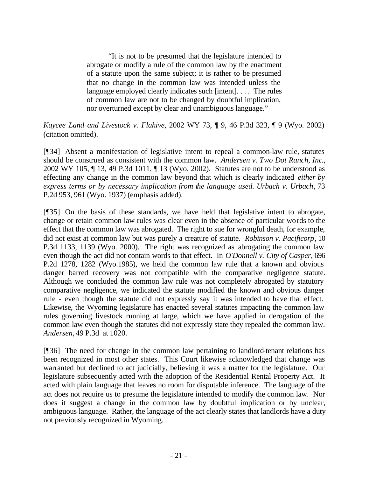"It is not to be presumed that the legislature intended to abrogate or modify a rule of the common law by the enactment of a statute upon the same subject; it is rather to be presumed that no change in the common law was intended unless the language employed clearly indicates such [intent]. . . . The rules of common law are not to be changed by doubtful implication, nor overturned except by clear and unambiguous language."

# *Kaycee Land and Livestock v. Flahive*, 2002 WY 73, ¶ 9, 46 P.3d 323, ¶ 9 (Wyo. 2002) (citation omitted).

[¶34] Absent a manifestation of legislative intent to repeal a common-law rule, statutes should be construed as consistent with the common law. *Andersen v. Two Dot Ranch, Inc*., 2002 WY 105, ¶ 13, 49 P.3d 1011, ¶ 13 (Wyo. 2002). Statutes are not to be understood as effecting any change in the common law beyond that which is clearly indicated *either by express terms or by necessary implication from the language used. Urbach v. Urbach*, 73 P.2d 953, 961 (Wyo. 1937) (emphasis added).

[¶35] On the basis of these standards, we have held that legislative intent to abrogate, change or retain common law rules was clear even in the absence of particular words to the effect that the common law was abrogated. The right to sue for wrongful death, for example, did not exist at common law but was purely a creature of statute. *Robinson v. Pacificorp*, 10 P.3d 1133, 1139 (Wyo. 2000). The right was recognized as abrogating the common law even though the act did not contain words to that effect. In *O'Donnell v. City of Casper*, 696 P.2d 1278, 1282 (Wyo.1985), we held the common law rule that a known and obvious danger barred recovery was not compatible with the comparative negligence statute. Although we concluded the common law rule was not completely abrogated by statutory comparative negligence, we indicated the statute modified the known and obvious danger rule - even though the statute did not expressly say it was intended to have that effect. Likewise, the Wyoming legislature has enacted several statutes impacting the common law rules governing livestock running at large, which we have applied in derogation of the common law even though the statutes did not expressly state they repealed the common law. *Andersen,* 49 P.3d at 1020.

[¶36] The need for change in the common law pertaining to landlord-tenant relations has been recognized in most other states. This Court likewise acknowledged that change was warranted but declined to act judicially, believing it was a matter for the legislature. Our legislature subsequently acted with the adoption of the Residential Rental Property Act. It acted with plain language that leaves no room for disputable inference. The language of the act does not require us to presume the legislature intended to modify the common law. Nor does it suggest a change in the common law by doubtful implication or by unclear, ambiguous language. Rather, the language of the act clearly states that landlords have a duty not previously recognized in Wyoming.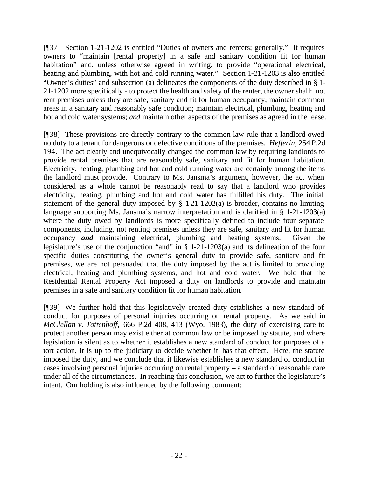[¶37] Section 1-21-1202 is entitled "Duties of owners and renters; generally." It requires owners to "maintain [rental property] in a safe and sanitary condition fit for human habitation" and, unless otherwise agreed in writing, to provide "operational electrical, heating and plumbing, with hot and cold running water." Section 1-21-1203 is also entitled "Owner's duties" and subsection (a) delineates the components of the duty described in § 1- 21-1202 more specifically - to protect the health and safety of the renter, the owner shall: not rent premises unless they are safe, sanitary and fit for human occupancy; maintain common areas in a sanitary and reasonably safe condition; maintain electrical, plumbing, heating and hot and cold water systems; *and* maintain other aspects of the premises as agreed in the lease.

[¶38] These provisions are directly contrary to the common law rule that a landlord owed no duty to a tenant for dangerous or defective conditions of the premises. *Hefferin,* 254 P.2d 194. The act clearly and unequivocally changed the common law by requiring landlords to provide rental premises that are reasonably safe, sanitary and fit for human habitation. Electricity, heating, plumbing and hot and cold running water are certainly among the items the landlord must provide. Contrary to Ms. Jansma's argument, however, the act when considered as a whole cannot be reasonably read to say that a landlord who provides electricity, heating, plumbing and hot and cold water has fulfilled his duty. The initial statement of the general duty imposed by  $\S$  1-21-1202(a) is broader, contains no limiting language supporting Ms. Jansma's narrow interpretation and is clarified in § 1-21-1203(a) where the duty owed by landlords is more specifically defined to include four separate components, including, not renting premises unless they are safe, sanitary and fit for human occupancy *and* maintaining electrical, plumbing and heating systems. Given the legislature's use of the conjunction "and" in § 1-21-1203(a) and its delineation of the four specific duties constituting the owner's general duty to provide safe, sanitary and fit premises, we are not persuaded that the duty imposed by the act is limited to providing electrical, heating and plumbing systems, and hot and cold water. We hold that the Residential Rental Property Act imposed a duty on landlords to provide and maintain premises in a safe and sanitary condition fit for human habitation.

[¶39] We further hold that this legislatively created duty establishes a new standard of conduct for purposes of personal injuries occurring on rental property. As we said in *McClellan v. Tottenhoff,* 666 P.2d 408, 413 (Wyo. 1983), the duty of exercising care to protect another person may exist either at common law or be imposed by statute, and where legislation is silent as to whether it establishes a new standard of conduct for purposes of a tort action, it is up to the judiciary to decide whether it has that effect. Here, the statute imposed the duty, and we conclude that it likewise establishes a new standard of conduct in cases involving personal injuries occurring on rental property – a standard of reasonable care under all of the circumstances. In reaching this conclusion, we act to further the legislature's intent. Our holding is also influenced by the following comment: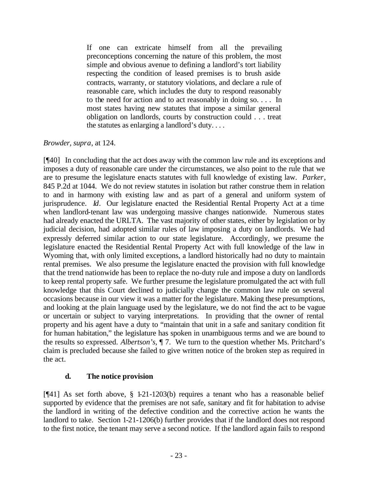If one can extricate himself from all the prevailing preconceptions concerning the nature of this problem, the most simple and obvious avenue to defining a landlord's tort liability respecting the condition of leased premises is to brush aside contracts, warranty, or statutory violations, and declare a rule of reasonable care, which includes the duty to respond reasonably to the need for action and to act reasonably in doing so. . . . In most states having new statutes that impose a similar general obligation on landlords, courts by construction could . . . treat the statutes as enlarging a landlord's duty. . . .

### *Browder, supra*, at 124.

[¶40] In concluding that the act does away with the common law rule and its exceptions and imposes a duty of reasonable care under the circumstances, we also point to the rule that we are to presume the legislature enacts statutes with full knowledge of existing law. *Parker*, 845 P.2d at 1044. We do not review statutes in isolation but rather construe them in relation to and in harmony with existing law and as part of a general and uniform system of jurisprudence. *Id*. Our legislature enacted the Residential Rental Property Act at a time when landlord-tenant law was undergoing massive changes nationwide. Numerous states had already enacted the URLTA. The vast majority of other states, either by legislation or by judicial decision, had adopted similar rules of law imposing a duty on landlords. We had expressly deferred similar action to our state legislature. Accordingly, we presume the legislature enacted the Residential Rental Property Act with full knowledge of the law in Wyoming that, with only limited exceptions, a landlord historically had no duty to maintain rental premises. We also presume the legislature enacted the provision with full knowledge that the trend nationwide has been to replace the no-duty rule and impose a duty on landlords to keep rental property safe. We further presume the legislature promulgated the act with full knowledge that this Court declined to judicially change the common law rule on several occasions because in our view it was a matter for the legislature. Making these presumptions, and looking at the plain language used by the legislature, we do not find the act to be vague or uncertain or subject to varying interpretations. In providing that the owner of rental property and his agent have a duty to "maintain that unit in a safe and sanitary condition fit for human habitation," the legislature has spoken in unambiguous terms and we are bound to the results so expressed. *Albertson's,* ¶ 7. We turn to the question whether Ms. Pritchard's claim is precluded because she failed to give written notice of the broken step as required in the act.

### **d. The notice provision**

[¶41] As set forth above, § 1-21-1203(b) requires a tenant who has a reasonable belief supported by evidence that the premises are not safe, sanitary and fit for habitation to advise the landlord in writing of the defective condition and the corrective action he wants the landlord to take. Section 1-21-1206(b) further provides that if the landlord does not respond to the first notice, the tenant may serve a second notice. If the landlord again fails to respond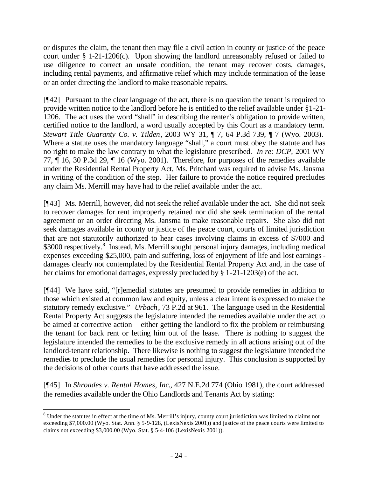or disputes the claim, the tenant then may file a civil action in county or justice of the peace court under § 1-21-1206(c). Upon showing the landlord unreasonably refused or failed to use diligence to correct an unsafe condition, the tenant may recover costs, damages, including rental payments, and affirmative relief which may include termination of the lease or an order directing the landlord to make reasonable repairs.

[¶42] Pursuant to the clear language of the act, there is no question the tenant is required to provide written notice to the landlord before he is entitled to the relief available under §1-21- 1206. The act uses the word "shall" in describing the renter's obligation to provide written, certified notice to the landlord, a word usually accepted by this Court as a mandatory term. *Stewart Title Guaranty Co. v. Tilden*, 2003 WY 31, ¶ 7, 64 P.3d 739, ¶ 7 (Wyo. 2003). Where a statute uses the mandatory language "shall," a court must obey the statute and has no right to make the law contrary to what the legislature prescribed. *In re: DCP,* 2001 WY 77, ¶ 16, 30 P.3d 29, ¶ 16 (Wyo. 2001). Therefore, for purposes of the remedies available under the Residential Rental Property Act, Ms. Pritchard was required to advise Ms. Jansma in writing of the condition of the step. Her failure to provide the notice required precludes any claim Ms. Merrill may have had to the relief available under the act.

[¶43] Ms. Merrill, however, did not seek the relief available under the act. She did not seek to recover damages for rent improperly retained nor did she seek termination of the rental agreement or an order directing Ms. Jansma to make reasonable repairs. She also did not seek damages available in county or justice of the peace court, courts of limited jurisdiction that are not statutorily authorized to hear cases involving claims in excess of \$7000 and \$3000 respectively.<sup>8</sup> Instead, Ms. Merrill sought personal injury damages, including medical expenses exceeding \$25,000, pain and suffering, loss of enjoyment of life and lost earnings damages clearly not contemplated by the Residential Rental Property Act and, in the case of her claims for emotional damages, expressly precluded by § 1-21-1203(e) of the act.

[¶44] We have said, "[r]emedial statutes are presumed to provide remedies in addition to those which existed at common law and equity, unless a clear intent is expressed to make the statutory remedy exclusive." *Urbach*, 73 P.2d at 961. The language used in the Residential Rental Property Act suggests the legislature intended the remedies available under the act to be aimed at corrective action – either getting the landlord to fix the problem or reimbursing the tenant for back rent or letting him out of the lease. There is nothing to suggest the legislature intended the remedies to be the exclusive remedy in all actions arising out of the landlord-tenant relationship. There likewise is nothing to suggest the legislature intended the remedies to preclude the usual remedies for personal injury. This conclusion is supported by the decisions of other courts that have addressed the issue.

[¶45] In *Shroades v. Rental Homes, Inc*., 427 N.E.2d 774 (Ohio 1981), the court addressed the remedies available under the Ohio Landlords and Tenants Act by stating:

l  $8$  Under the statutes in effect at the time of Ms. Merrill's injury, county court jurisdiction was limited to claims not exceeding \$7,000.00 (Wyo. Stat. Ann. § 5-9-128, (LexisNexis 2001)) and justice of the peace courts were limited to claims not exceeding \$3,000.00 (Wyo. Stat. § 5-4-106 (LexisNexis 2001)).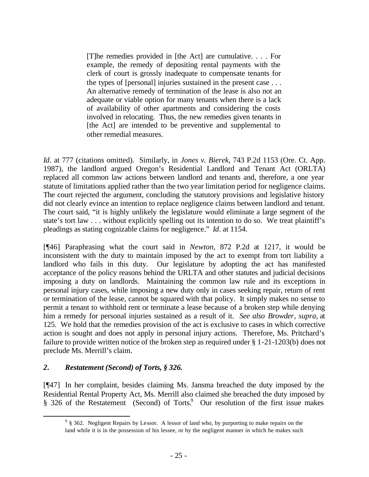[T]he remedies provided in [the Act] are cumulative. . . . For example, the remedy of depositing rental payments with the clerk of court is grossly inadequate to compensate tenants for the types of [personal] injuries sustained in the present case . . . An alternative remedy of termination of the lease is also not an adequate or viable option for many tenants when there is a lack of availability of other apartments and considering the costs involved in relocating. Thus, the new remedies given tenants in [the Act] are intended to be preventive and supplemental to other remedial measures.

*Id*. at 777 (citations omitted). Similarly, in *Jones v. Bierek*, 743 P.2d 1153 (Ore. Ct. App. 1987), the landlord argued Oregon's Residential Landlord and Tenant Act (ORLTA) replaced all common law actions between landlord and tenants and, therefore, a one year statute of limitations applied rather than the two year limitation period for negligence claims. The court rejected the argument, concluding the statutory provisions and legislative history did not clearly evince an intention to replace negligence claims between landlord and tenant. The court said, "it is highly unlikely the legislature would eliminate a large segment of the state's tort law . . . without explicitly spelling out its intention to do so. We treat plaintiff's pleadings as stating cognizable claims for negligence." *Id*. at 1154.

[¶46] Paraphrasing what the court said in *Newton,* 872 P.2d at 1217, it would be inconsistent with the duty to maintain imposed by the act to exempt from tort liability a landlord who fails in this duty. Our legislature by adopting the act has manifested acceptance of the policy reasons behind the URLTA and other statutes and judicial decisions imposing a duty on landlords. Maintaining the common law rule and its exceptions in personal injury cases, while imposing a new duty only in cases seeking repair, return of rent or termination of the lease, cannot be squared with that policy. It simply makes no sense to permit a tenant to withhold rent or terminate a lease because of a broken step while denying him a remedy for personal injuries sustained as a result of it. *See also Browder*, *supra,* at 125. We hold that the remedies provision of the act is exclusive to cases in which corrective action is sought and does not apply in personal injury actions. Therefore, Ms. Pritchard's failure to provide written notice of the broken step as required under § 1-21-1203(b) does not preclude Ms. Merrill's claim.

# *2. Restatement (Second) of Torts, § 326.*

l

[¶47] In her complaint, besides claiming Ms. Jansma breached the duty imposed by the Residential Rental Property Act, Ms. Merrill also claimed she breached the duty imposed by § 326 of the Restatement (Second) of Torts.<sup>9</sup> Our resolution of the first issue makes

 $9\,$  § 362. Negligent Repairs by Lessor. A lessor of land who, by purporting to make repairs on the land while it is in the possession of his lessee, or by the negligent manner in which he makes such